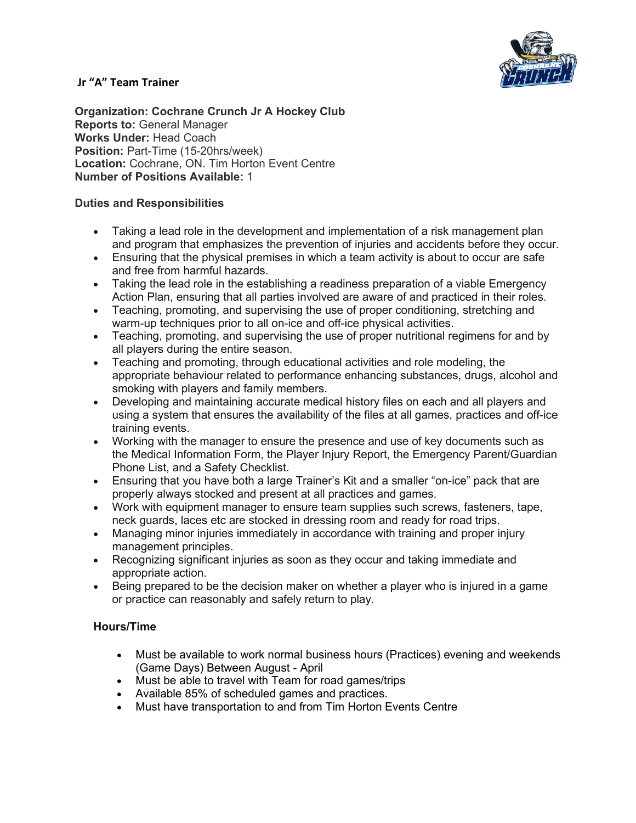

### **Jr "A" Team Trainer**

**Organization: Cochrane Crunch Jr A Hockey Club Reports to:** General Manager **Works Under:** Head Coach **Position:** Part-Time (15-20hrs/week) **Location:** Cochrane, ON. Tim Horton Event Centre **Number of Positions Available:** 1

## **Duties and Responsibilities**

- Taking a lead role in the development and implementation of a risk management plan and program that emphasizes the prevention of injuries and accidents before they occur.
- Ensuring that the physical premises in which a team activity is about to occur are safe and free from harmful hazards.
- Taking the lead role in the establishing a readiness preparation of a viable Emergency Action Plan, ensuring that all parties involved are aware of and practiced in their roles.
- Teaching, promoting, and supervising the use of proper conditioning, stretching and warm-up techniques prior to all on-ice and off-ice physical activities.
- Teaching, promoting, and supervising the use of proper nutritional regimens for and by all players during the entire season.
- Teaching and promoting, through educational activities and role modeling, the appropriate behaviour related to performance enhancing substances, drugs, alcohol and smoking with players and family members.
- Developing and maintaining accurate medical history files on each and all players and using a system that ensures the availability of the files at all games, practices and off-ice training events.
- Working with the manager to ensure the presence and use of key documents such as the Medical Information Form, the Player Injury Report, the Emergency Parent/Guardian Phone List, and a Safety Checklist.
- Ensuring that you have both a large Trainer's Kit and a smaller "on-ice" pack that are properly always stocked and present at all practices and games.
- Work with equipment manager to ensure team supplies such screws, fasteners, tape, neck guards, laces etc are stocked in dressing room and ready for road trips.
- Managing minor injuries immediately in accordance with training and proper injury management principles.
- Recognizing significant injuries as soon as they occur and taking immediate and appropriate action.
- Being prepared to be the decision maker on whether a player who is injured in a game or practice can reasonably and safely return to play.

## **Hours/Time**

- Must be available to work normal business hours (Practices) evening and weekends (Game Days) Between August - April
- Must be able to travel with Team for road games/trips
- Available 85% of scheduled games and practices.
- Must have transportation to and from Tim Horton Events Centre